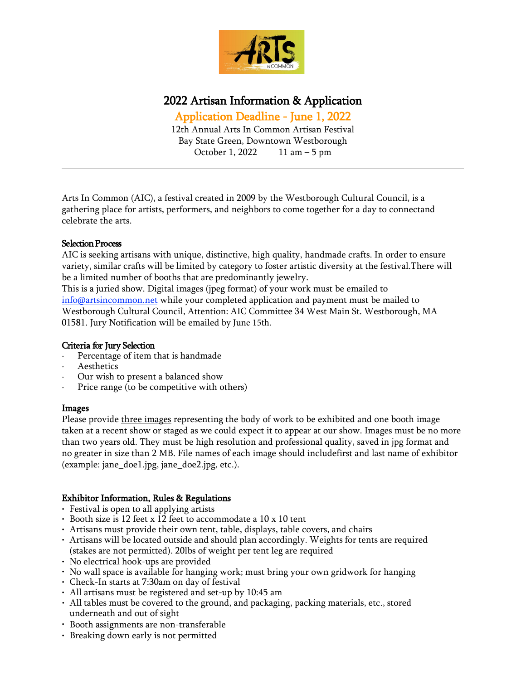

## 2022 Artisan Information & Application

Application Deadline - June 1, 2022

12th Annual Arts In Common Artisan Festival Bay State Green, Downtown Westborough October 1, 2022 11 am – 5 pm

Arts In Common (AIC), a festival created in 2009 by the Westborough Cultural Council, is a gathering place for artists, performers, and neighbors to come together for a day to connectand celebrate the arts.

#### Selection Process

AIC is seeking artisans with unique, distinctive, high quality, handmade crafts. In order to ensure variety, similar crafts will be limited by category to foster artistic diversity at the festival.There will be a limited number of booths that are predominantly jewelry.

This is a juried show. Digital images (jpeg format) of your work must be emailed to [info@artsincommon.net](mailto:info@artsincommon.net) while your completed application and payment must be mailed to Westborough Cultural Council, Attention: AIC Committee 34 West Main St. Westborough, MA 01581. Jury Notification will be emailed by June 15th.

#### Criteria for Jury Selection

- Percentage of item that is handmade
- · Aesthetics
- Our wish to present a balanced show
- Price range (to be competitive with others)

#### Images

Please provide three images representing the body of work to be exhibited and one booth image taken at a recent show or staged as we could expect it to appear at our show. Images must be no more than two years old. They must be high resolution and professional quality, saved in jpg format and no greater in size than 2 MB. File names of each image should includefirst and last name of exhibitor (example: jane\_doe1.jpg, jane\_doe2.jpg, etc.).

#### Exhibitor Information, Rules & Regulations

- Festival is open to all applying artists
- Booth size is 12 feet x 12 feet to accommodate a 10 x 10 tent
- Artisans must provide their own tent, table, displays, table covers, and chairs
- Artisans will be located outside and should plan accordingly. Weights for tents are required (stakes are not permitted). 20lbs of weight per tent leg are required
- No electrical hook-ups are provided
- No wall space is available for hanging work; must bring your own gridwork for hanging
- Check-In starts at 7:30am on day of festival
- All artisans must be registered and set-up by 10:45 am
- All tables must be covered to the ground, and packaging, packing materials, etc., stored underneath and out of sight
- Booth assignments are non-transferable
- Breaking down early is not permitted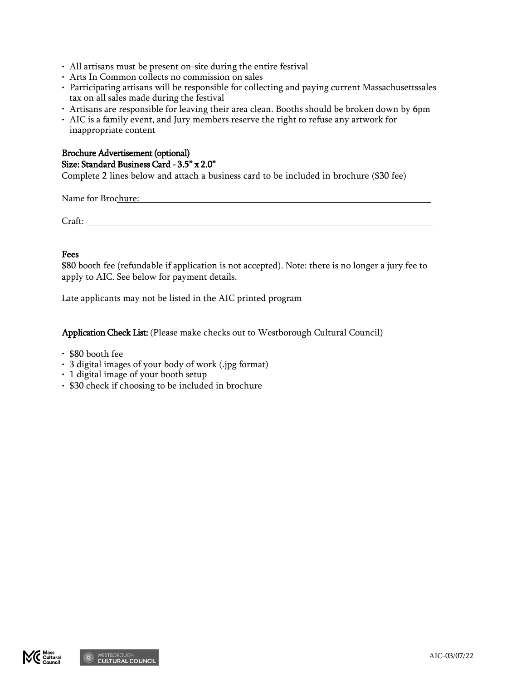- All artisans must be present on-site during the entire festival
- Arts In Common collects no commission on sales
- Participating artisans will be responsible for collecting and paying current Massachusettssales tax on all sales made during the festival
- Artisans are responsible for leaving their area clean. Booths should be broken down by 6pm
- AIC is a family event, and Jury members reserve the right to refuse any artwork for inappropriate content

#### Brochure Advertisement (optional) Size: Standard Business Card - 3.5" x 2.0"

Complete 2 lines below and attach a business card to be included in brochure (\$30 fee)

Name for Brochure:  $\blacksquare$ 

Craft:

#### Fees

\$80 booth fee (refundable if application is not accepted). Note: there is no longer a jury fee to apply to AIC. See below for payment details.

Late applicants may not be listed in the AIC printed program

Application Check List: (Please make checks out to Westborough Cultural Council)

- \$80 booth fee
- 3 digital images of your body of work (.jpg format)
- 1 digital image of your booth setup
- \$30 check if choosing to be included in brochure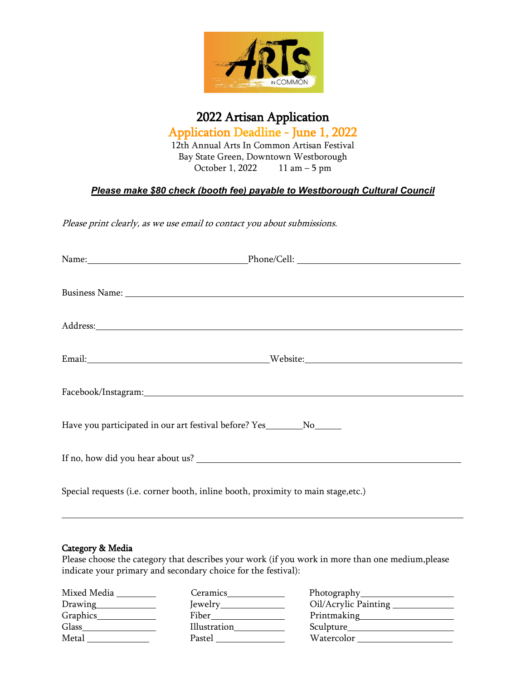

# 2022 Artisan Application

Application Deadline - June 1, 2022 12th Annual Arts In Common Artisan Festival Bay State Green, Downtown Westborough October 1, 2022 11 am – 5 pm

### *Please make \$80 check (booth fee) payable to Westborough Cultural Council*

Please print clearly, as we use email to contact you about submissions.

| Address: Andreas Address: Address: Address: Address: Address: Address: Address: Address: Address: Address: Address: Address: Address: Address: Address: Address: Address: Address: Address: Address: Address: Address: Address |  |  |
|--------------------------------------------------------------------------------------------------------------------------------------------------------------------------------------------------------------------------------|--|--|
|                                                                                                                                                                                                                                |  |  |
| Facebook/Instagram: 1988 and 2008 and 2008 and 2008 and 2008 and 2008 and 2008 and 2008 and 2008 and 2008 and 2008 and 2008 and 2008 and 2008 and 2008 and 2008 and 2008 and 2008 and 2008 and 2008 and 2008 and 2008 and 2008 |  |  |
| Have you participated in our art festival before? Yes__________No_______                                                                                                                                                       |  |  |
|                                                                                                                                                                                                                                |  |  |
| Special requests (i.e. corner booth, inline booth, proximity to main stage, etc.)                                                                                                                                              |  |  |

#### Category & Media

Please choose the category that describes your work (if you work in more than one medium, please indicate your primary and secondary choice for the festival):

| Mixed Media | Ceramics     |                      |
|-------------|--------------|----------------------|
|             |              | Oil/Acrylic Painting |
| Graphics_   |              |                      |
| Glass       | Illustration |                      |
| Metal       | Pastel       | Watercolor           |